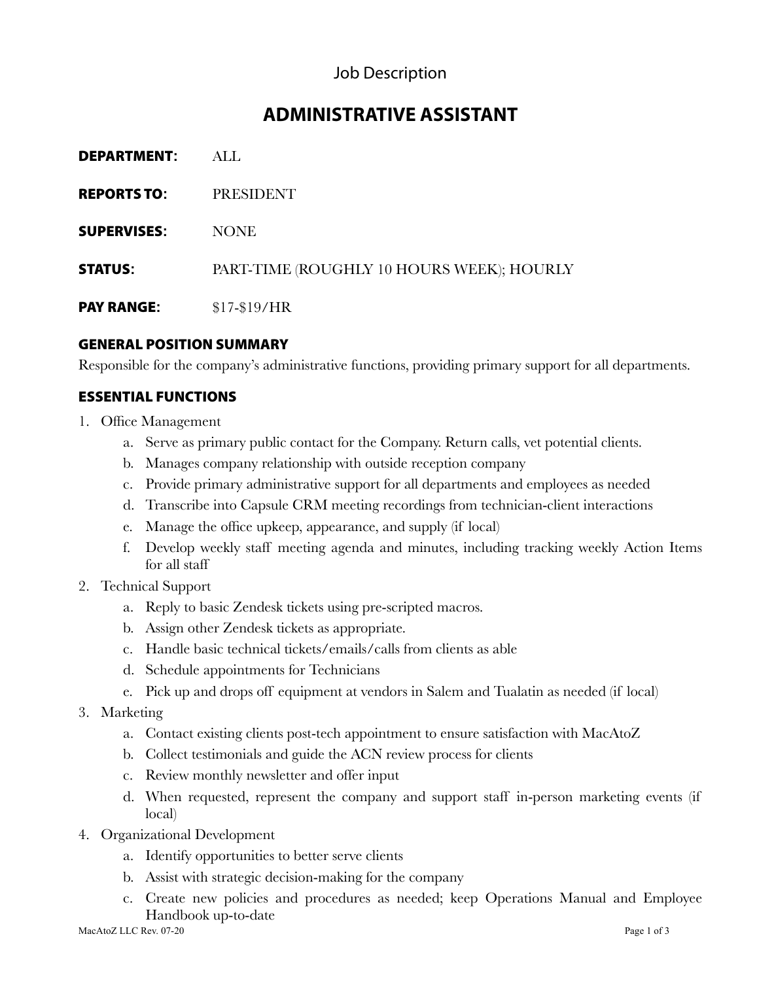## Job Description

# **ADMINISTRATIVE ASSISTANT**

| <b>DEPARTMENT:</b> | ALL.                                      |
|--------------------|-------------------------------------------|
| <b>REPORTS TO:</b> | <b>PRESIDENT</b>                          |
| <b>SUPERVISES:</b> | <b>NONE</b>                               |
| <b>STATUS:</b>     | PART-TIME (ROUGHLY 10 HOURS WEEK); HOURLY |
| <b>PAY RANGE:</b>  | $$17-$19/HR$                              |

#### GENERAL POSITION SUMMARY

Responsible for the company's administrative functions, providing primary support for all departments.

#### ESSENTIAL FUNCTIONS

- 1. Office Management
	- a. Serve as primary public contact for the Company. Return calls, vet potential clients.
	- b. Manages company relationship with outside reception company
	- c. Provide primary administrative support for all departments and employees as needed
	- d. Transcribe into Capsule CRM meeting recordings from technician-client interactions
	- e. Manage the office upkeep, appearance, and supply (if local)
	- f. Develop weekly staff meeting agenda and minutes, including tracking weekly Action Items for all staff
- 2. Technical Support
	- a. Reply to basic Zendesk tickets using pre-scripted macros.
	- b. Assign other Zendesk tickets as appropriate.
	- c. Handle basic technical tickets/emails/calls from clients as able
	- d. Schedule appointments for Technicians
	- e. Pick up and drops off equipment at vendors in Salem and Tualatin as needed (if local)
- 3. Marketing
	- a. Contact existing clients post-tech appointment to ensure satisfaction with MacAtoZ
	- b. Collect testimonials and guide the ACN review process for clients
	- c. Review monthly newsletter and offer input
	- d. When requested, represent the company and support staff in-person marketing events (if local)
- 4. Organizational Development
	- a. Identify opportunities to better serve clients
	- b. Assist with strategic decision-making for the company
	- c. Create new policies and procedures as needed; keep Operations Manual and Employee Handbook up-to-date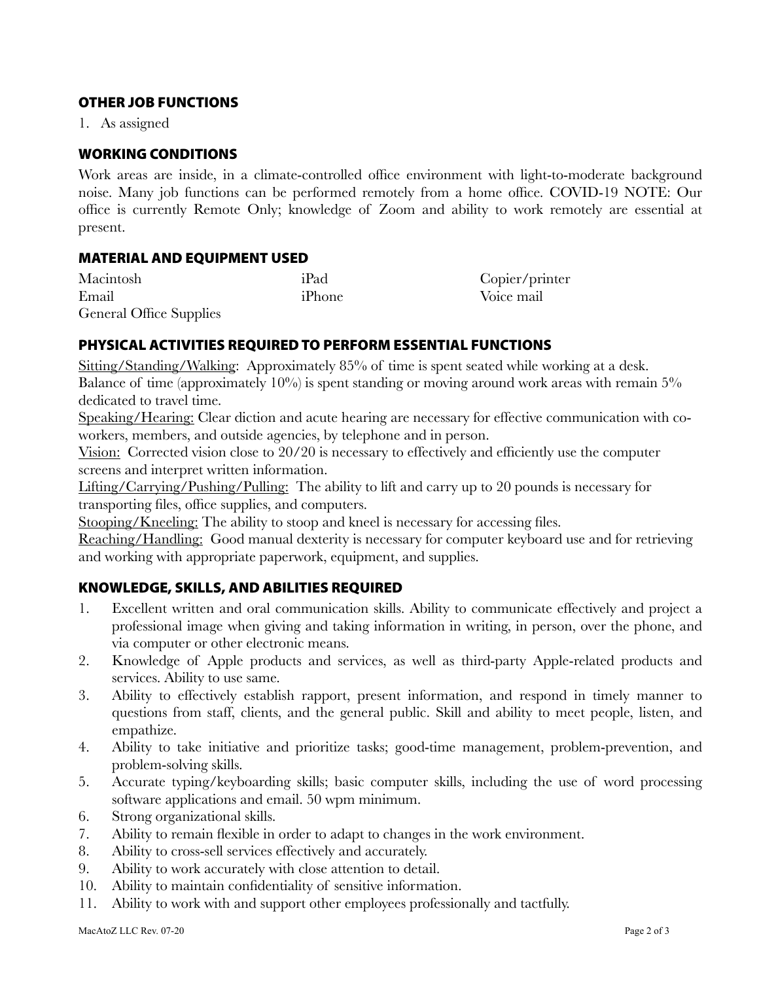#### OTHER JOB FUNCTIONS

1. As assigned

#### WORKING CONDITIONS

Work areas are inside, in a climate-controlled office environment with light-to-moderate background noise. Many job functions can be performed remotely from a home office. COVID-19 NOTE: Our office is currently Remote Only; knowledge of Zoom and ability to work remotely are essential at present.

#### MATERIAL AND EQUIPMENT USED

| Macintosh                      | iPad   | Copier/printer |
|--------------------------------|--------|----------------|
| Email                          | iPhone | Voice mail     |
| <b>General Office Supplies</b> |        |                |

#### PHYSICAL ACTIVITIES REQUIRED TO PERFORM ESSENTIAL FUNCTIONS

Sitting/Standing/Walking: Approximately 85% of time is spent seated while working at a desk. Balance of time (approximately  $10\%$ ) is spent standing or moving around work areas with remain  $5\%$ dedicated to travel time.

Speaking/Hearing: Clear diction and acute hearing are necessary for effective communication with coworkers, members, and outside agencies, by telephone and in person.

Vision: Corrected vision close to 20/20 is necessary to effectively and efficiently use the computer screens and interpret written information.

Lifting/Carrying/Pushing/Pulling: The ability to lift and carry up to 20 pounds is necessary for transporting files, office supplies, and computers.

Stooping/Kneeling: The ability to stoop and kneel is necessary for accessing files.

Reaching/Handling: Good manual dexterity is necessary for computer keyboard use and for retrieving and working with appropriate paperwork, equipment, and supplies.

### KNOWLEDGE, SKILLS, AND ABILITIES REQUIRED

- 1. Excellent written and oral communication skills. Ability to communicate effectively and project a professional image when giving and taking information in writing, in person, over the phone, and via computer or other electronic means.
- 2. Knowledge of Apple products and services, as well as third-party Apple-related products and services. Ability to use same.
- 3. Ability to effectively establish rapport, present information, and respond in timely manner to questions from staff, clients, and the general public. Skill and ability to meet people, listen, and empathize.
- 4. Ability to take initiative and prioritize tasks; good-time management, problem-prevention, and problem-solving skills.
- 5. Accurate typing/keyboarding skills; basic computer skills, including the use of word processing software applications and email. 50 wpm minimum.
- 6. Strong organizational skills.
- 7. Ability to remain flexible in order to adapt to changes in the work environment.
- 8. Ability to cross-sell services effectively and accurately.
- 9. Ability to work accurately with close attention to detail.
- 10. Ability to maintain confidentiality of sensitive information.
- 11. Ability to work with and support other employees professionally and tactfully.